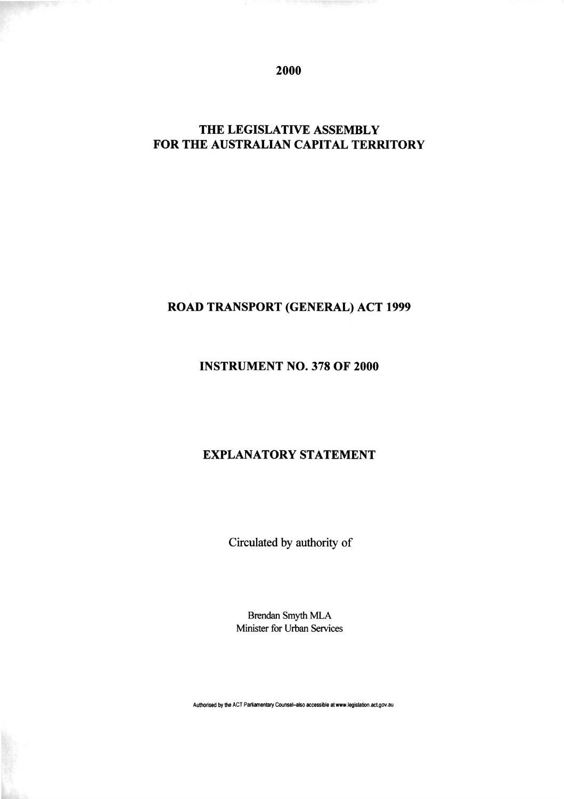2000

# THE LEGISLATIVE ASSEMBLY FOR THE AUSTRALIAN CAPITAL TERRITORY

## ROAD TRANSPORT (GENERAL) ACT 1999

### INSTRUMENT NO. 378 OF 2000

### EXPLANATORY STATEMENT

Circulated by authority of

Brendan Smyth MLA Minister for Urban Services

**Authorised by the ACT Parliamentary Counsel-also accessible at www.legislation.actgov.au**